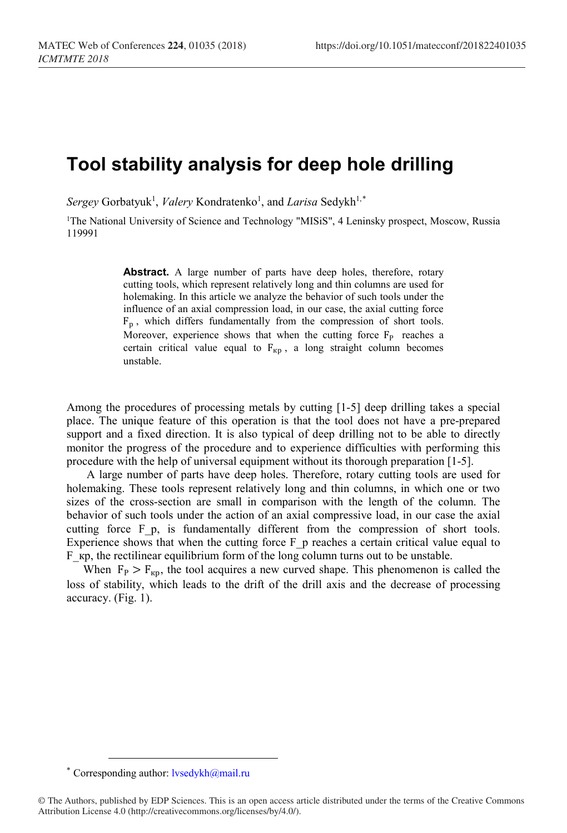# **Tool stability analysis for deep hole drilling**

 $Sergey$  Gorbatyuk<sup>1</sup>, *Valery* Kondratenko<sup>1</sup>, and *Larisa* Sedykh<sup>1,[\\*](#page-0-0)</sup>

<sup>1</sup>The National University of Science and Technology "MISiS", 4 Leninsky prospect, Moscow, Russia 119991

> **Abstract.** A large number of parts have deep holes, therefore, rotary cutting tools, which represent relatively long and thin columns are used for holemaking. In this article we analyze the behavior of such tools under the influence of an axial compression load, in our case, the axial cutting force  $F_p$ , which differs fundamentally from the compression of short tools. Moreover, experience shows that when the cutting force  $F_P$  reaches a certain critical value equal to  $F_{\kappa n}$ , a long straight column becomes unstable.

Among the procedures of processing metals by cutting [1-5] deep drilling takes a special place. The unique feature of this operation is that the tool does not have a pre-prepared support and a fixed direction. It is also typical of deep drilling not to be able to directly monitor the progress of the procedure and to experience difficulties with performing this procedure with the help of universal equipment without its thorough preparation [1-5].

A large number of parts have deep holes. Therefore, rotary cutting tools are used for holemaking. These tools represent relatively long and thin columns, in which one or two sizes of the cross-section are small in comparison with the length of the column. The behavior of such tools under the action of an axial compressive load, in our case the axial cutting force F p, is fundamentally different from the compression of short tools. Experience shows that when the cutting force  $F_p$  reaches a certain critical value equal to F kp, the rectilinear equilibrium form of the long column turns out to be unstable.

When  $F_P > F_{\kappa p}$ , the tool acquires a new curved shape. This phenomenon is called the loss of stability, which leads to the drift of the drill axis and the decrease of processing accuracy. (Fig. 1).

<sup>\*</sup> Corresponding author:  $l$ vsedykh $@$ mail.ru

<span id="page-0-0"></span><sup>©</sup> The Authors, published by EDP Sciences. This is an open access article distributed under the terms of the Creative Commons Attribution License 4.0 (http://creativecommons.org/licenses/by/4.0/).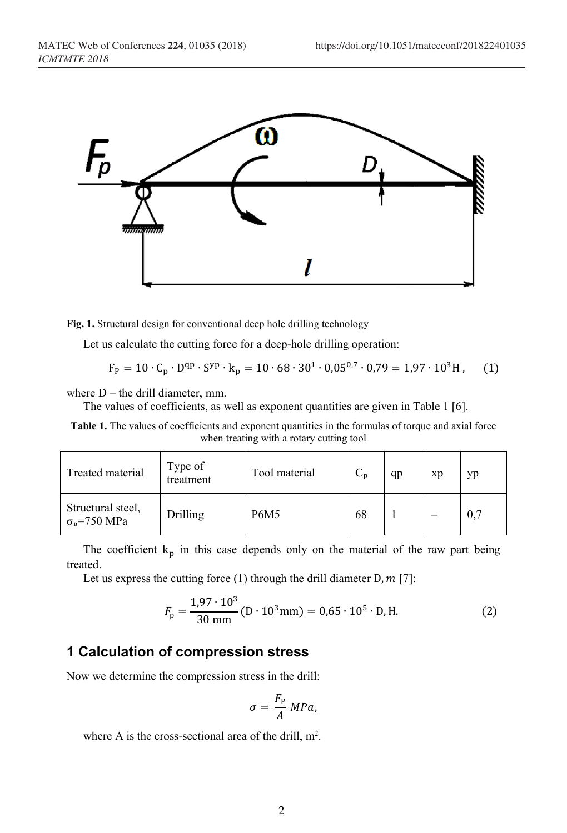

**Fig. 1.** Structural design for conventional deep hole drilling technology

Let us calculate the cutting force for a deep-hole drilling operation:

$$
F_p = 10 \cdot C_p \cdot D^{qp} \cdot S^{yp} \cdot k_p = 10 \cdot 68 \cdot 30^1 \cdot 0.05^{0.7} \cdot 0.79 = 1.97 \cdot 10^3 H, \quad (1)
$$

where  $D$  – the drill diameter, mm.

The values of coefficients, as well as exponent quantities are given in Table 1 [6].

**Table 1.** The values of coefficients and exponent quantities in the formulas of torque and axial force when treating with a rotary cutting tool

| Treated material                               | Type of<br>treatment | Tool material | $C_p$ | qp | xp | yр  |
|------------------------------------------------|----------------------|---------------|-------|----|----|-----|
| Structural steel,<br>$\sigma_{\rm B}$ =750 MPa | Drilling             | <b>P6M5</b>   | 68    |    |    | 0,7 |

The coefficient  $k_p$  in this case depends only on the material of the raw part being treated.

Let us express the cutting force  $(1)$  through the drill diameter D,  $m$  [7]:

$$
F_{\rm p} = \frac{1.97 \cdot 10^3}{30 \text{ mm}} (\text{D} \cdot 10^3 \text{ mm}) = 0.65 \cdot 10^5 \cdot \text{D}, \text{H}. \tag{2}
$$

## **1 Calculation of compression stress**

Now we determine the compression stress in the drill:

$$
\sigma = \frac{F_{\rm P}}{A} \; MPa,
$$

where A is the cross-sectional area of the drill,  $m^2$ .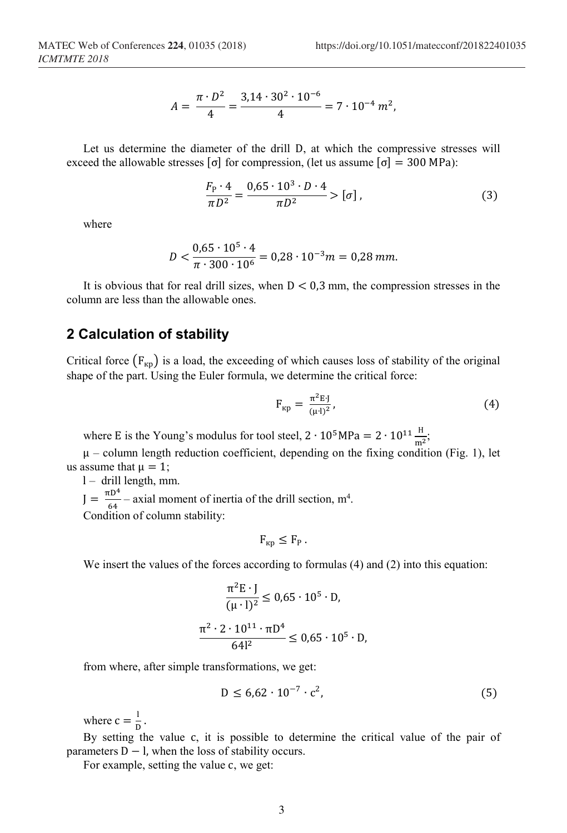$$
A = \frac{\pi \cdot D^2}{4} = \frac{3.14 \cdot 30^2 \cdot 10^{-6}}{4} = 7 \cdot 10^{-4} m^2,
$$

Let us determine the diameter of the drill D, at which the compressive stresses will exceed the allowable stresses  $\sigma$  for compression, (let us assume  $\sigma$  = 300 MPa):

$$
\frac{F_{\rm p} \cdot 4}{\pi D^2} = \frac{0.65 \cdot 10^3 \cdot D \cdot 4}{\pi D^2} > [\sigma],
$$
\n(3)

where

$$
D < \frac{0.65 \cdot 10^5 \cdot 4}{\pi \cdot 300 \cdot 10^6} = 0.28 \cdot 10^{-3} m = 0.28 \, \text{mm}.
$$

It is obvious that for real drill sizes, when  $D < 0.3$  mm, the compression stresses in the column are less than the allowable ones.

## **2 Calculation of stability**

Critical force  $(F_{\kappa p})$  is a load, the exceeding of which causes loss of stability of the original shape of the part. Using the Euler formula, we determine the critical force:

$$
F_{\rm KP} = \frac{\pi^2 E J}{(\mu \cdot l)^2},\tag{4}
$$

where E is the Young's modulus for tool steel,  $2 \cdot 10^5 MPa = 2 \cdot 10^{11} \frac{H}{m^2}$ ;

 $\mu$  – column length reduction coefficient, depending on the fixing condition (Fig. 1), let us assume that  $\mu = 1$ ;

l – drill length, mm.

 $J = \frac{\pi D^4}{64}$  – axial moment of inertia of the drill section, m<sup>4</sup>.

Condition of column stability:

$$
F_{\kappa p} \leq F_P.
$$

We insert the values of the forces according to formulas (4) and (2) into this equation:

$$
\frac{\pi^2 \mathbf{E} \cdot \mathbf{J}}{(\mu \cdot \mathbf{l})^2} \le 0.65 \cdot 10^5 \cdot \mathbf{D},
$$
  

$$
\frac{\pi^2 \cdot 2 \cdot 10^{11} \cdot \pi \mathbf{D}^4}{64l^2} \le 0.65 \cdot 10^5 \cdot \mathbf{D},
$$

from where, after simple transformations, we get:

$$
D \le 6.62 \cdot 10^{-7} \cdot c^2,\tag{5}
$$

where  $c = \frac{1}{D}$ .

By setting the value с, it is possible to determine the critical value of the pair of parameters  $D - l$ , when the loss of stability occurs.

For example, setting the value с, we get: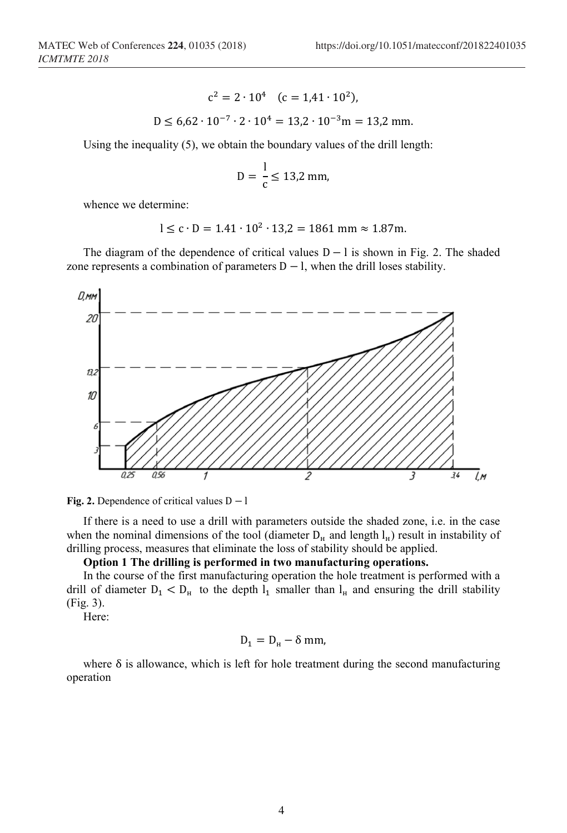$$
c2 = 2 \cdot 104 \quad (c = 1,41 \cdot 102),
$$
  
D \le 6,62 \cdot 10<sup>-7</sup> \cdot 2 \cdot 10<sup>4</sup> = 13,2 \cdot 10<sup>-3</sup> m = 13,2 mm.

Using the inequality (5), we obtain the boundary values of the drill length:

$$
D = \frac{1}{c} \le 13.2 \text{ mm},
$$

whence we determine:

$$
l \le c \cdot D = 1.41 \cdot 10^2 \cdot 13.2 = 1861 \text{ mm} \approx 1.87 \text{m}.
$$

The diagram of the dependence of critical values  $D - l$  is shown in Fig. 2. The shaded zone represents a combination of parameters  $D - I$ , when the drill loses stability.





If there is a need to use a drill with parameters outside the shaded zone, i.e. in the case when the nominal dimensions of the tool (diameter  $D<sub>H</sub>$  and length  $l<sub>H</sub>$ ) result in instability of drilling process, measures that eliminate the loss of stability should be applied.

**Option 1 The drilling is performed in two manufacturing operations.** 

In the course of the first manufacturing operation the hole treatment is performed with a drill of diameter  $D_1 < D_H$  to the depth  $l_1$  smaller than  $l_H$  and ensuring the drill stability (Fig. 3).

Here:

$$
D_1 = D_{\rm H} - \delta \, \rm mm,
$$

where  $\delta$  is allowance, which is left for hole treatment during the second manufacturing operation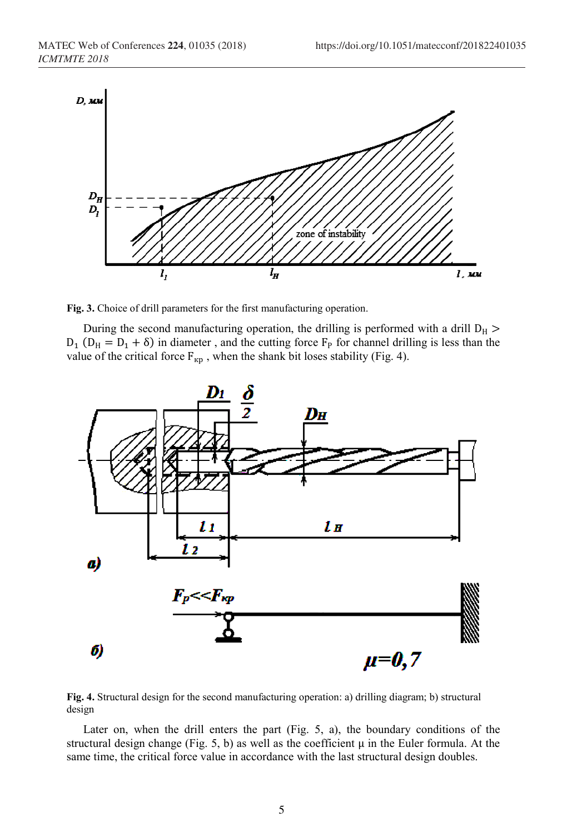

**Fig. 3.** Choice of drill parameters for the first manufacturing operation.

During the second manufacturing operation, the drilling is performed with a drill  $D_H$  >  $D_1$  ( $D_H = D_1 + \delta$ ) in diameter, and the cutting force  $F_P$  for channel drilling is less than the value of the critical force  $F_{Kp}$ , when the shank bit loses stability (Fig. 4).



**Fig. 4.** Structural design for the second manufacturing operation: а) drilling diagram; b) structural design

Later on, when the drill enters the part (Fig. 5, а), the boundary conditions of the structural design change (Fig. 5, b) as well as the coefficient  $\mu$  in the Euler formula. At the same time, the critical force value in accordance with the last structural design doubles.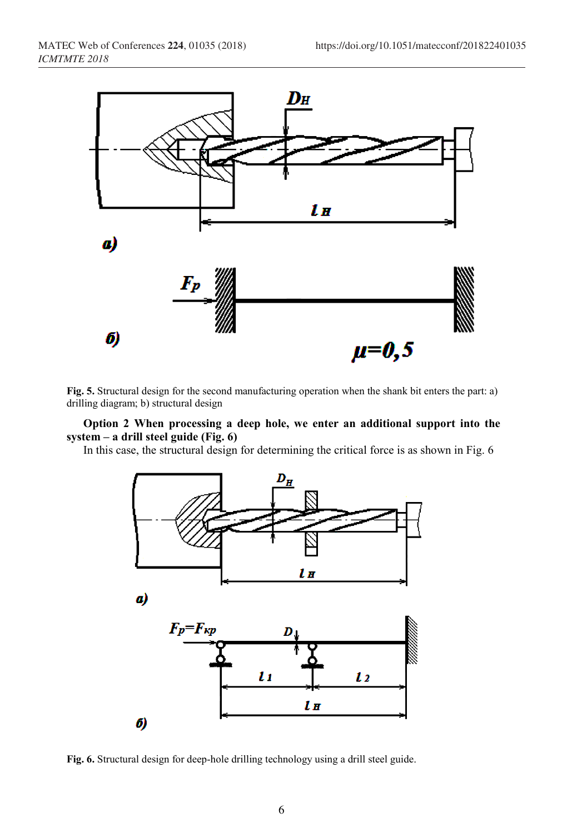

**Fig. 5.** Structural design for the second manufacturing operation when the shank bit enters the part: а) drilling diagram; b) structural design

#### **Option 2 When processing a deep hole, we enter an additional support into the system – a drill steel guide (Fig. 6)**

In this case, the structural design for determining the critical force is as shown in Fig. 6



**Fig. 6.** Structural design for deep-hole drilling technology using a drill steel guide.